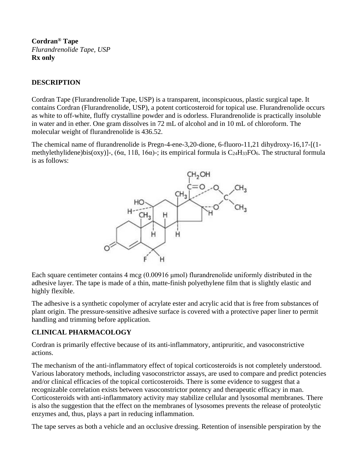**Cordran® Tape** *Flurandrenolide Tape, USP* **Rx only**

## **DESCRIPTION**

Cordran Tape (Flurandrenolide Tape, USP) is a transparent, inconspicuous, plastic surgical tape. It contains Cordran (Flurandrenolide, USP), a potent corticosteroid for topical use. Flurandrenolide occurs as white to off-white, fluffy crystalline powder and is odorless. Flurandrenolide is practically insoluble in water and in ether. One gram dissolves in 72 mL of alcohol and in 10 mL of chloroform. The molecular weight of flurandrenolide is 436.52.

The chemical name of flurandrenolide is Pregn-4-ene-3,20-dione, 6-fluoro-11,21 dihydroxy-16,17-[(1 methylethylidene)bis(oxy)]-, (6 $\alpha$ , 11 $\beta$ , 16 $\alpha$ )-; its empirical formula is C<sub>24</sub>H<sub>33</sub>FO<sub>6</sub>. The structural formula is as follows:



Each square centimeter contains 4 mcg (0.00916 μmol) flurandrenolide uniformly distributed in the adhesive layer. The tape is made of a thin, matte-finish polyethylene film that is slightly elastic and highly flexible.

The adhesive is a synthetic copolymer of acrylate ester and acrylic acid that is free from substances of plant origin. The pressure-sensitive adhesive surface is covered with a protective paper liner to permit handling and trimming before application.

## **CLINICAL PHARMACOLOGY**

Cordran is primarily effective because of its anti-inflammatory, antipruritic, and vasoconstrictive actions.

The mechanism of the anti-inflammatory effect of topical corticosteroids is not completely understood. Various laboratory methods, including vasoconstrictor assays, are used to compare and predict potencies and/or clinical efficacies of the topical corticosteroids. There is some evidence to suggest that a recognizable correlation exists between vasoconstrictor potency and therapeutic efficacy in man. Corticosteroids with anti-inflammatory activity may stabilize cellular and lysosomal membranes. There is also the suggestion that the effect on the membranes of lysosomes prevents the release of proteolytic enzymes and, thus, plays a part in reducing inflammation.

The tape serves as both a vehicle and an occlusive dressing. Retention of insensible perspiration by the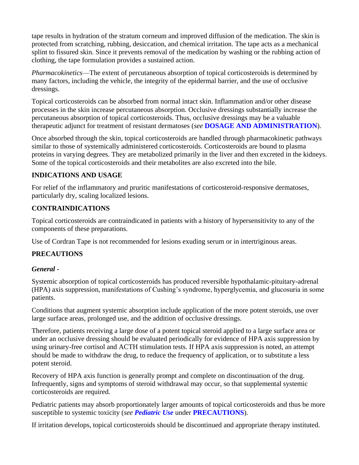tape results in hydration of the stratum corneum and improved diffusion of the medication. The skin is protected from scratching, rubbing, desiccation, and chemical irritation. The tape acts as a mechanical splint to fissured skin. Since it prevents removal of the medication by washing or the rubbing action of clothing, the tape formulation provides a sustained action.

*Pharmacokinetics*—The extent of percutaneous absorption of topical corticosteroids is determined by many factors, including the vehicle, the integrity of the epidermal barrier, and the use of occlusive dressings.

Topical corticosteroids can be absorbed from normal intact skin. Inflammation and/or other disease processes in the skin increase percutaneous absorption. Occlusive dressings substantially increase the percutaneous absorption of topical corticosteroids. Thus, occlusive dressings may be a valuable therapeutic adjunct for treatment of resistant dermatoses (*see* **[DOSAGE AND ADMINISTRATION](#page-3-0)**).

Once absorbed through the skin, topical corticosteroids are handled through pharmacokinetic pathways similar to those of systemically administered corticosteroids. Corticosteroids are bound to plasma proteins in varying degrees. They are metabolized primarily in the liver and then excreted in the kidneys. Some of the topical corticosteroids and their metabolites are also excreted into the bile.

## **INDICATIONS AND USAGE**

For relief of the inflammatory and pruritic manifestations of corticosteroid-responsive dermatoses, particularly dry, scaling localized lesions.

## **CONTRAINDICATIONS**

Topical corticosteroids are contraindicated in patients with a history of hypersensitivity to any of the components of these preparations.

Use of Cordran Tape is not recommended for lesions exuding serum or in intertriginous areas.

## <span id="page-1-0"></span>**PRECAUTIONS**

#### *General -*

Systemic absorption of topical corticosteroids has produced reversible hypothalamic-pituitary-adrenal (HPA) axis suppression, manifestations of Cushing's syndrome, hyperglycemia, and glucosuria in some patients.

Conditions that augment systemic absorption include application of the more potent steroids, use over large surface areas, prolonged use, and the addition of occlusive dressings.

Therefore, patients receiving a large dose of a potent topical steroid applied to a large surface area or under an occlusive dressing should be evaluated periodically for evidence of HPA axis suppression by using urinary-free cortisol and ACTH stimulation tests. If HPA axis suppression is noted, an attempt should be made to withdraw the drug, to reduce the frequency of application, or to substitute a less potent steroid.

Recovery of HPA axis function is generally prompt and complete on discontinuation of the drug. Infrequently, signs and symptoms of steroid withdrawal may occur, so that supplemental systemic corticosteroids are required.

Pediatric patients may absorb proportionately larger amounts of topical corticosteroids and thus be more susceptible to systemic toxicity (*see [Pediatric Use](#page-2-0)* under **[PRECAUTIONS](#page-1-0)**).

If irritation develops, topical corticosteroids should be discontinued and appropriate therapy instituted.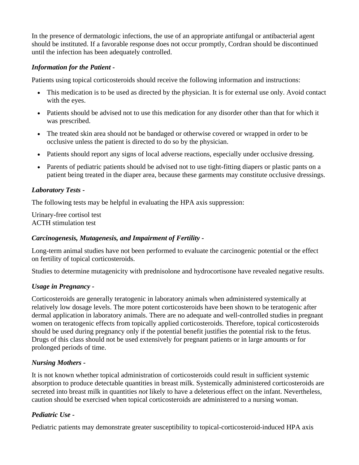In the presence of dermatologic infections, the use of an appropriate antifungal or antibacterial agent should be instituted. If a favorable response does not occur promptly, Cordran should be discontinued until the infection has been adequately controlled.

## *Information for the Patient -*

Patients using topical corticosteroids should receive the following information and instructions:

- This medication is to be used as directed by the physician. It is for external use only. Avoid contact with the eyes.
- Patients should be advised not to use this medication for any disorder other than that for which it was prescribed.
- The treated skin area should not be bandaged or otherwise covered or wrapped in order to be occlusive unless the patient is directed to do so by the physician.
- Patients should report any signs of local adverse reactions, especially under occlusive dressing.
- Parents of pediatric patients should be advised not to use tight-fitting diapers or plastic pants on a patient being treated in the diaper area, because these garments may constitute occlusive dressings.

## *Laboratory Tests -*

The following tests may be helpful in evaluating the HPA axis suppression:

Urinary-free cortisol test ACTH stimulation test

# *Carcinogenesis, Mutagenesis, and Impairment of Fertility -*

Long-term animal studies have not been performed to evaluate the carcinogenic potential or the effect on fertility of topical corticosteroids.

Studies to determine mutagenicity with prednisolone and hydrocortisone have revealed negative results.

# *Usage in Pregnancy -*

Corticosteroids are generally teratogenic in laboratory animals when administered systemically at relatively low dosage levels. The more potent corticosteroids have been shown to be teratogenic after dermal application in laboratory animals. There are no adequate and well-controlled studies in pregnant women on teratogenic effects from topically applied corticosteroids. Therefore, topical corticosteroids should be used during pregnancy only if the potential benefit justifies the potential risk to the fetus. Drugs of this class should not be used extensively for pregnant patients or in large amounts or for prolonged periods of time.

## *Nursing Mothers -*

It is not known whether topical administration of corticosteroids could result in sufficient systemic absorption to produce detectable quantities in breast milk. Systemically administered corticosteroids are secreted into breast milk in quantities *not* likely to have a deleterious effect on the infant. Nevertheless, caution should be exercised when topical corticosteroids are administered to a nursing woman.

# <span id="page-2-0"></span>*Pediatric Use -*

Pediatric patients may demonstrate greater susceptibility to topical-corticosteroid-induced HPA axis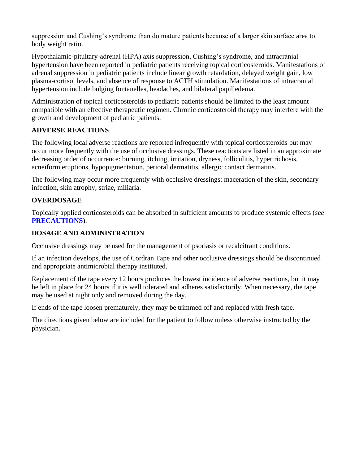suppression and Cushing's syndrome than do mature patients because of a larger skin surface area to body weight ratio.

Hypothalamic-pituitary-adrenal (HPA) axis suppression, Cushing's syndrome, and intracranial hypertension have been reported in pediatric patients receiving topical corticosteroids. Manifestations of adrenal suppression in pediatric patients include linear growth retardation, delayed weight gain, low plasma-cortisol levels, and absence of response to ACTH stimulation. Manifestations of intracranial hypertension include bulging fontanelles, headaches, and bilateral papilledema.

Administration of topical corticosteroids to pediatric patients should be limited to the least amount compatible with an effective therapeutic regimen. Chronic corticosteroid therapy may interfere with the growth and development of pediatric patients.

## **ADVERSE REACTIONS**

The following local adverse reactions are reported infrequently with topical corticosteroids but may occur more frequently with the use of occlusive dressings. These reactions are listed in an approximate decreasing order of occurrence: burning, itching, irritation, dryness, folliculitis, hypertrichosis, acneiform eruptions, hypopigmentation, perioral dermatitis, allergic contact dermatitis.

The following may occur more frequently with occlusive dressings: maceration of the skin, secondary infection, skin atrophy, striae, miliaria.

## **OVERDOSAGE**

Topically applied corticosteroids can be absorbed in sufficient amounts to produce systemic effects (*see*  **[PRECAUTIONS](#page-1-0)**).

## <span id="page-3-0"></span>**DOSAGE AND ADMINISTRATION**

Occlusive dressings may be used for the management of psoriasis or recalcitrant conditions.

If an infection develops, the use of Cordran Tape and other occlusive dressings should be discontinued and appropriate antimicrobial therapy instituted.

Replacement of the tape every 12 hours produces the lowest incidence of adverse reactions, but it may be left in place for 24 hours if it is well tolerated and adheres satisfactorily. When necessary, the tape may be used at night only and removed during the day.

If ends of the tape loosen prematurely, they may be trimmed off and replaced with fresh tape.

The directions given below are included for the patient to follow unless otherwise instructed by the physician.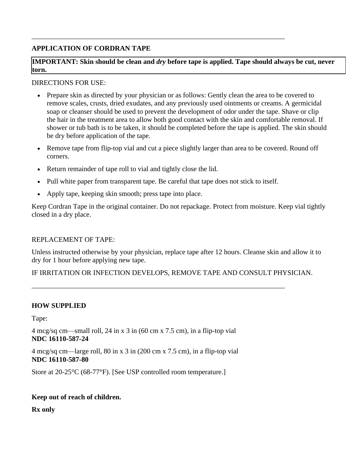## **APPLICATION OF CORDRAN TAPE**

#### **IMPORTANT: Skin should be clean and** *dry* **before tape is applied. Tape should always be cut, never torn.**

#### DIRECTIONS FOR USE:

- Prepare skin as directed by your physician or as follows: Gently clean the area to be covered to remove scales, crusts, dried exudates, and any previously used ointments or creams. A germicidal soap or cleanser should be used to prevent the development of odor under the tape. Shave or clip the hair in the treatment area to allow both good contact with the skin and comfortable removal. If shower or tub bath is to be taken, it should be completed before the tape is applied. The skin should be dry before application of the tape.
- Remove tape from flip-top vial and cut a piece slightly larger than area to be covered. Round off corners.
- Return remainder of tape roll to vial and tightly close the lid.
- Pull white paper from transparent tape. Be careful that tape does not stick to itself.

\_\_\_\_\_\_\_\_\_\_\_\_\_\_\_\_\_\_\_\_\_\_\_\_\_\_\_\_\_\_\_\_\_\_\_\_\_\_\_\_\_\_\_\_\_\_\_\_\_\_\_\_\_\_\_\_\_\_\_\_\_\_\_\_\_\_\_\_\_\_\_\_

• Apply tape, keeping skin smooth; press tape into place.

Keep Cordran Tape in the original container. Do not repackage. Protect from moisture. Keep vial tightly closed in a dry place.

#### REPLACEMENT OF TAPE:

Unless instructed otherwise by your physician, replace tape after 12 hours. Cleanse skin and allow it to dry for 1 hour before applying new tape.

IF IRRITATION OR INFECTION DEVELOPS, REMOVE TAPE AND CONSULT PHYSICIAN.

\_\_\_\_\_\_\_\_\_\_\_\_\_\_\_\_\_\_\_\_\_\_\_\_\_\_\_\_\_\_\_\_\_\_\_\_\_\_\_\_\_\_\_\_\_\_\_\_\_\_\_\_\_\_\_\_\_\_\_\_\_\_\_\_\_\_\_\_\_\_\_\_

#### **HOW SUPPLIED**

Tape:

4 mcg/sq cm—small roll, 24 in x 3 in (60 cm x 7.5 cm), in a flip-top vial **NDC 16110-587-24**

4 mcg/sq cm—large roll, 80 in x 3 in (200 cm x 7.5 cm), in a flip-top vial **NDC 16110-587-80**

Store at 20-25°C (68-77°F). [See USP controlled room temperature.]

## **Keep out of reach of children.**

**Rx only**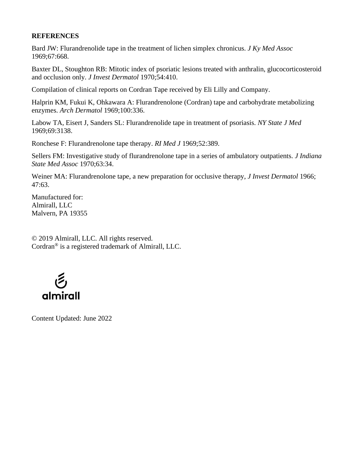#### **REFERENCES**

Bard JW: Flurandrenolide tape in the treatment of lichen simplex chronicus. *J Ky Med Assoc* 1969;67:668.

Baxter DL, Stoughton RB: Mitotic index of psoriatic lesions treated with anthralin, glucocorticosteroid and occlusion only. *J Invest Dermatol* 1970;54:410.

Compilation of clinical reports on Cordran Tape received by Eli Lilly and Company.

Halprin KM, Fukui K, Ohkawara A: Flurandrenolone (Cordran) tape and carbohydrate metabolizing enzymes. *Arch Dermatol* 1969;100:336.

Labow TA, Eisert J, Sanders SL: Flurandrenolide tape in treatment of psoriasis. *NY State J Med* 1969;69:3138.

Ronchese F: Flurandrenolone tape therapy. *RI Med J* 1969;52:389.

Sellers FM: Investigative study of flurandrenolone tape in a series of ambulatory outpatients. *J Indiana State Med Assoc* 1970;63:34.

Weiner MA: Flurandrenolone tape, a new preparation for occlusive therapy, *J Invest Dermatol* 1966; 47:63.

Manufactured for: Almirall, LLC Malvern, PA 19355

© 2019 Almirall, LLC. All rights reserved. Cordran® is a registered trademark of Almirall, LLC.



Content Updated: June 2022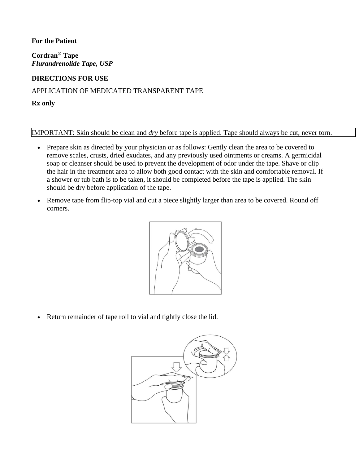## **For the Patient**

**Cordran® Tape** *Flurandrenolide Tape, USP*

## **DIRECTIONS FOR USE**

## APPLICATION OF MEDICATED TRANSPARENT TAPE

**Rx only**

## IMPORTANT: Skin should be clean and *dry* before tape is applied. Tape should always be cut, never torn.

- Prepare skin as directed by your physician or as follows: Gently clean the area to be covered to remove scales, crusts, dried exudates, and any previously used ointments or creams. A germicidal soap or cleanser should be used to prevent the development of odor under the tape. Shave or clip the hair in the treatment area to allow both good contact with the skin and comfortable removal. If a shower or tub bath is to be taken, it should be completed before the tape is applied. The skin should be dry before application of the tape.
- Remove tape from flip-top vial and cut a piece slightly larger than area to be covered. Round off corners.



• Return remainder of tape roll to vial and tightly close the lid.

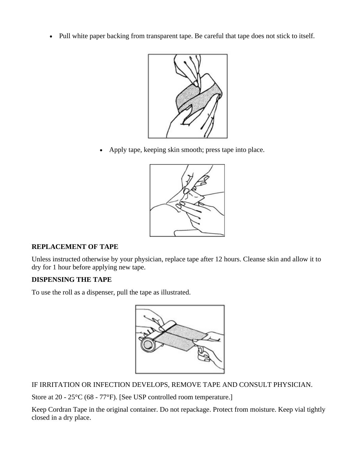• Pull white paper backing from transparent tape. Be careful that tape does not stick to itself.



• Apply tape, keeping skin smooth; press tape into place.



# **REPLACEMENT OF TAPE**

Unless instructed otherwise by your physician, replace tape after 12 hours. Cleanse skin and allow it to dry for 1 hour before applying new tape.

## **DISPENSING THE TAPE**

To use the roll as a dispenser, pull the tape as illustrated.



IF IRRITATION OR INFECTION DEVELOPS, REMOVE TAPE AND CONSULT PHYSICIAN.

Store at 20 - 25°C (68 - 77°F). [See USP controlled room temperature.]

Keep Cordran Tape in the original container. Do not repackage. Protect from moisture. Keep vial tightly closed in a dry place.